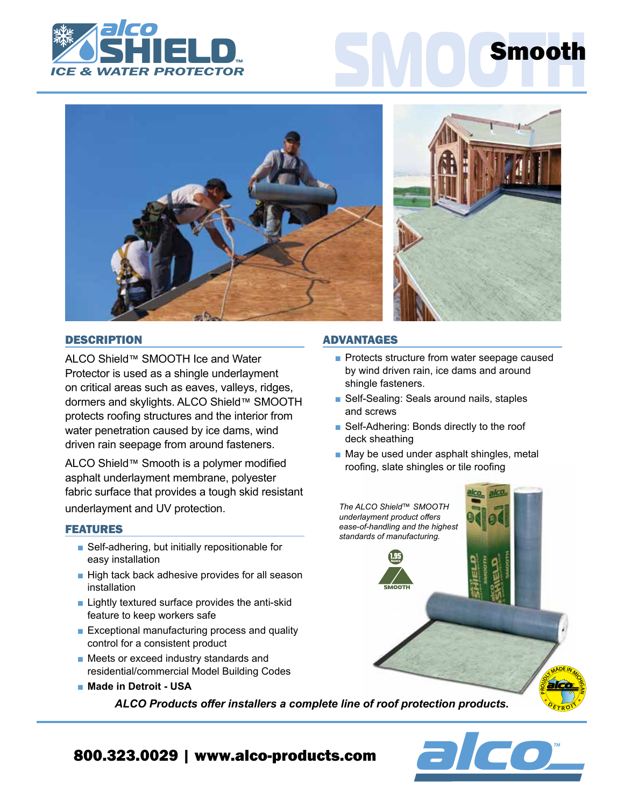



# **DESCRIPTION**

ALCO Shield™ SMOOTH Ice and Water Protector is used as a shingle underlayment on critical areas such as eaves, valleys, ridges, dormers and skylights. ALCO Shield™ SMOOTH protects roofing structures and the interior from water penetration caused by ice dams, wind driven rain seepage from around fasteners.

ALCO Shield™ Smooth is a polymer modified asphalt underlayment membrane, polyester fabric surface that provides a tough skid resistant underlayment and UV protection.

## FEATURES

- Self-adhering, but initially repositionable for easy installation
- High tack back adhesive provides for all season installation
- Lightly textured surface provides the anti-skid feature to keep workers safe
- Exceptional manufacturing process and quality control for a consistent product
- Meets or exceed industry standards and residential/commercial Model Building Codes
- Made in Detroit USA

*ALCO Products offer installers a complete line of roof protection products.*

## ADVANTAGES

- Protects structure from water seepage caused by wind driven rain, ice dams and around shingle fasteners.
- Self-Sealing: Seals around nails, staples and screws
- Self-Adhering: Bonds directly to the roof deck sheathing
- May be used under asphalt shingles, metal roofing, slate shingles or tile roofing





 $O_{E\,TR}$  $R$ <sup> $\Omega$ </sup>

# 800.323.0029 | www.alco-products.com